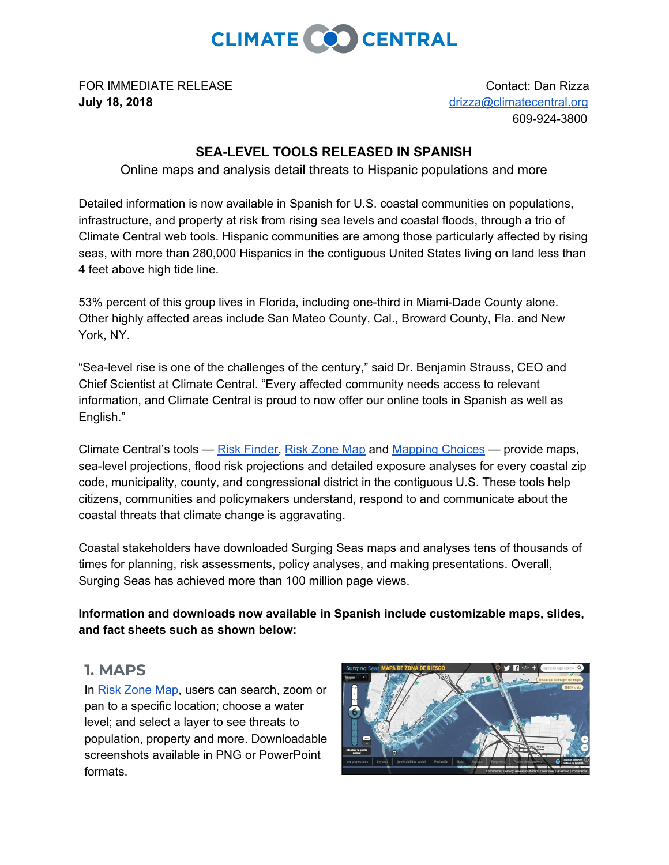

FOR IMMEDIATE RELEASE CONTACT CONTACT CONTACT: Dan Rizza **July 18, 2018** [drizza@climatecentral.org](mailto:drizza@climatecentral.org)

609-924-3800

## **SEA-LEVEL TOOLS RELEASED IN SPANISH**

Online maps and analysis detail threats to Hispanic populations and more

Detailed information is now available in Spanish for U.S. coastal communities on populations, infrastructure, and property at risk from rising sea levels and coastal floods, through a trio of Climate Central web tools. Hispanic communities are among those particularly affected by rising seas, with more than 280,000 Hispanics in the contiguous United States living on land less than 4 feet above high tide line.

53% percent of this group lives in Florida, including one-third in Miami-Dade County alone. Other highly affected areas include San Mateo County, Cal., Broward County, Fla. and New York, NY.

"Sea-level rise is one of the challenges of the century," said Dr. Benjamin Strauss, CEO and Chief Scientist at Climate Central. "Every affected community needs access to relevant information, and Climate Central is proud to now offer our online tools in Spanish as well as English."

Climate Central's tools — Risk [Finder,](https://riskfinder.org/) Risk [Zone](https://ss2.climatecentral.org/#) Map and [Mapping](https://choices.climatecentral.org/) Choices — provide maps, sea-level projections, flood risk projections and detailed exposure analyses for every coastal zip code, municipality, county, and congressional district in the contiguous U.S. These tools help citizens, communities and policymakers understand, respond to and communicate about the coastal threats that climate change is aggravating.

Coastal stakeholders have downloaded Surging Seas maps and analyses tens of thousands of times for planning, risk assessments, policy analyses, and making presentations. Overall, Surging Seas has achieved more than 100 million page views.

**Information and downloads now available in Spanish include customizable maps, slides, and fact sheets such as shown below:**

## **1. MAPS**

In Risk [Zone](https://ss2.climatecentral.org/) Map, users can search, zoom or pan to a specific location; choose a water level; and select a layer to see threats to population, property and more. Downloadable screenshots available in PNG or PowerPoint formats.